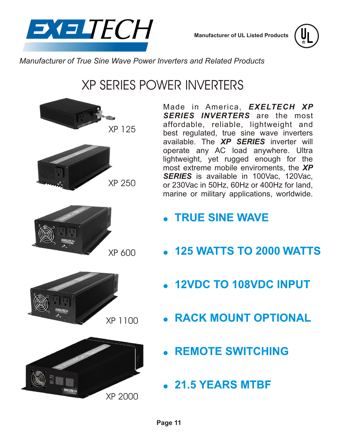

**Manufacturer of UL Listed Products**

**R**

*Manufacturer of True Sine Wave Power Inverters and Related Products*

# XP SERIES POWER INVERTERS







XP 600





- **TRUE SINE WAVE**
- **2000** WATTS TO 2000 WATTS
	- . 12VDC TO 108VDC INPUT
- **RACK MOUNT OPTIONAL**
- **REMOTE SWITCHING**
- $21.5$  YEARS MTBF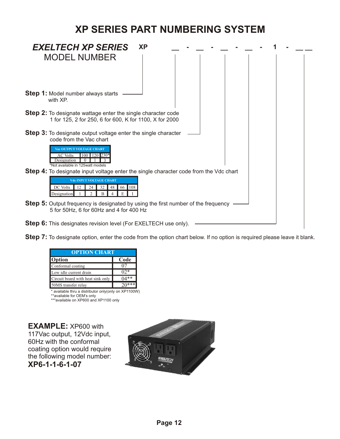### **XP SERIES PART NUMBERING SYSTEM**



**Step 7:** To designate option, enter the code from the option chart below. If no option is required please leave it blank.

| <b>OPTION CHART</b> |  |  |
|---------------------|--|--|
| Code                |  |  |
|                     |  |  |
|                     |  |  |
|                     |  |  |
| $20***$             |  |  |
|                     |  |  |

\* available thru a distributor only(only on XP1100W) \*available for OEM's only

\*\*\*available on XP600 and XP1100 only

**EXAMPLE:** XP600 with 117Vac output, 12Vdc input, 60Hz with the conformal coating option would require the following model number: **XP6-1-1-6-1-07**

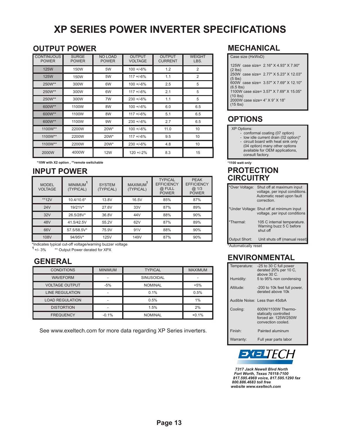## **XP SERIES POWER INVERTER SPECIFICATIONS**

#### **OUTPUT POWER**

| <b>CONTINUOUS</b><br><b>POWER</b> | <b>SURGE</b><br><b>POWER</b> | <b>NO LOAD</b><br><b>POWER</b> | <b>OUTPUT</b><br><b>VOLTAGE</b> | <b>OUTPUT</b><br><b>CURRENT</b> | <b>WEIGHT</b><br>LBS. |
|-----------------------------------|------------------------------|--------------------------------|---------------------------------|---------------------------------|-----------------------|
| <b>125W</b>                       | 150W                         | 5W                             | $100 + 6\%$                     | 1.2                             | $\overline{2}$        |
| <b>125W</b>                       | 150W                         | 5W                             | $117 + 6%$                      | 1.1                             | $\overline{2}$        |
| 250W**                            | 300W                         | 6W                             | $100 + 6\%$                     | 2.5                             | 5                     |
| 250W**                            | 300W                         | 6W                             | $117 + 6%$                      | 2.1                             | 5                     |
| 250W**                            | 300W                         | 7W                             | $230 + 6\%$                     | 1.1                             | 5                     |
| 600W**                            | 1100W                        | 8W                             | $100 + 6\%$                     | 6.0                             | 6.5                   |
| 600W**                            | 1100W                        | 8W                             | $117 + 6%$                      | 5.1                             | 6.5                   |
| 600W**                            | 1100W                        | 9W                             | $230 + 6\%$                     | 2.7                             | 6.5                   |
| 1100W**                           | 2200W                        | 20W*                           | $100 + 6\%$                     | 11.0                            | 10                    |
| 1100W**                           | 2200W                        | 20W*                           | $117 + 6%$                      | 9.5                             | 10                    |
| 1100W**                           | 2200W                        | 20W*                           | $230 + 6\%$                     | 4.8                             | 10                    |
| 2000W                             | 4000W                        | <b>12W</b>                     | $120 + 2%$                      | 8.3                             | 15                    |

**\*10W with X2 option , \*\*remote switchable**

#### **INPUT POWER**

| <b>MODEL</b><br><b>VOLTAGE</b> | <b>MINIMUM</b><br>(TYPICAL) | <b>SYSTEM</b><br>(TYPICAL) | <b>MAXIMUM</b><br>(TYPICAL) | <b>TYPICAL</b><br><b>EFFICIENCY</b><br>@ FULL<br><b>POWER</b> | <b>PEAK</b><br><b>EFFICIENCY</b><br>@.1/3<br><b>POWER</b> |
|--------------------------------|-----------------------------|----------------------------|-----------------------------|---------------------------------------------------------------|-----------------------------------------------------------|
| $**12V$                        | 10.4/10.6*                  | 13.8V                      | 16.5V                       | 85%                                                           | 87%                                                       |
| 24V                            | 19/21V*                     | 27.6V                      | 33V                         | 87%                                                           | 89%                                                       |
| 32V                            | 26.5/28V*                   | 36.8V                      | 44V                         | 88%                                                           | 90%                                                       |
| 48V                            | 41.5/42.5V                  | 55.2V                      | 62V                         | 87%                                                           | 89%                                                       |
| 66V                            | 57.5/58.5V*                 | 75.9V                      | 91V                         | 88%                                                           | 90%                                                       |
| 108V                           | 94/95V*                     | 125V                       | 149V                        | 87%                                                           | 90%                                                       |

\*Indicates typical cut-off voltage/warning buzzer voltage

+/- 3% **<sup>1</sup>** \*\* Output Power derated for XPX

#### **GENERAL**

| <b>CONDITIONS</b>      | <b>MINIMUM</b> | <b>TYPICAL</b>    | <b>MAXIMUM</b> |
|------------------------|----------------|-------------------|----------------|
| <b>WAVEFORM</b>        |                | <b>SINUSOIDAL</b> |                |
| <b>VOLTAGE OUTPUT</b>  | $-5%$          | <b>NOMINAL</b>    | $+5%$          |
| <b>LINE REGULATION</b> |                | 0.1%              | 0.5%           |
| <b>LOAD REGULATION</b> |                | 0.5%              | 1%             |
| <b>DISTORTION</b>      |                | 1.5%              | 2%             |
| <b>FREQUENCY</b>       | $-0.1%$        | <b>NOMINAL</b>    | $+0.1%$        |

See www.exeltech.com for more data regarding XP Series inverters.

#### **MECHANICAL**

| Case size (HxWxD)                                     |  |
|-------------------------------------------------------|--|
| 125W case size= 2.16" X 4.93" X 7.90"<br>$(2$ lbs)    |  |
| 250W case size= 2.77" X 5.23" X 12.03"<br>$(5$ lbs)   |  |
| 600W case size= 3.57" X 7.69" X 12.10"<br>$(6.5$ lbs) |  |
| 1100W case size= 3.57" X 7.69" X 15.05"<br>$(10$ lbs) |  |
| 2000W case size= 4" X 9" X 18"<br>$(15$ lbs)          |  |
|                                                       |  |

### **OPTIONS**

#### XP Options:

- conformal coating (07 option)
- low idle current drain (02 option)\*
- circuit board with heat sink only
- (04 option) many other options available for OEM applications, consult factory.

**\*1100 watt only**

#### **PROTECTION CIRCUITRY**

| *Over Voltage:        | Shut off at maximum input<br>voltage, per input conditions.<br>Automatic reset upon fault<br>correction. |
|-----------------------|----------------------------------------------------------------------------------------------------------|
|                       | *Under Voltage: Shut off at minimum input<br>voltage, per input conditions                               |
| *Thermal <sup>-</sup> | 105 C internal temperature.<br>Warning buzz 5 C before<br>shut off                                       |
| Output Short:         | Unit shuts off (manual reset)                                                                            |
| *Automatically reset  |                                                                                                          |

#### **ENVIRONMENTAL**

| Temperature:<br>Humidity: | -25 to 30 C full power<br>derated 20% per 10 C.<br>above $30C$<br>5 to 95% non condensing  |
|---------------------------|--------------------------------------------------------------------------------------------|
|                           |                                                                                            |
| Altitude:                 | -200 to 10k feet full power,<br>derated above 10k                                          |
|                           | Audible Noise: Less than 45dbA                                                             |
| Cooling:                  | 600W/1100W Thermo-<br>statically controlled<br>forced air, 125W/250W<br>convection cooled. |
| Finish <sup>-</sup>       | Painted aluminum                                                                           |
|                           |                                                                                            |



 *7317 Jack Newell Blvd North Fort Worth, Texas 76118-7100 817.595.4969 voice, 817.595.1290 fax 800.886.4683 toll free website www.exeltech.com*